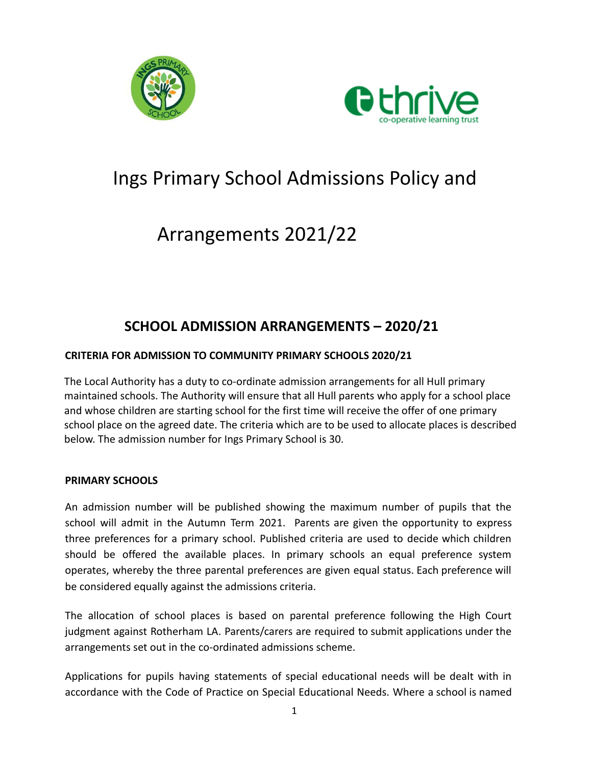



# Ings Primary School Admissions Policy and

# Arrangements 2021/22

## **SCHOOL ADMISSION ARRANGEMENTS – 2020/21**

### **CRITERIA FOR ADMISSION TO COMMUNITY PRIMARY SCHOOLS 2020/21**

The Local Authority has a duty to co-ordinate admission arrangements for all Hull primary maintained schools. The Authority will ensure that all Hull parents who apply for a school place and whose children are starting school for the first time will receive the offer of one primary school place on the agreed date. The criteria which are to be used to allocate places is described below. The admission number for Ings Primary School is 30.

#### **PRIMARY SCHOOLS**

An admission number will be published showing the maximum number of pupils that the school will admit in the Autumn Term 2021. Parents are given the opportunity to express three preferences for a primary school. Published criteria are used to decide which children should be offered the available places. In primary schools an equal preference system operates, whereby the three parental preferences are given equal status. Each preference will be considered equally against the admissions criteria.

The allocation of school places is based on parental preference following the High Court judgment against Rotherham LA. Parents/carers are required to submit applications under the arrangements set out in the co-ordinated admissions scheme.

Applications for pupils having statements of special educational needs will be dealt with in accordance with the Code of Practice on Special Educational Needs. Where a school is named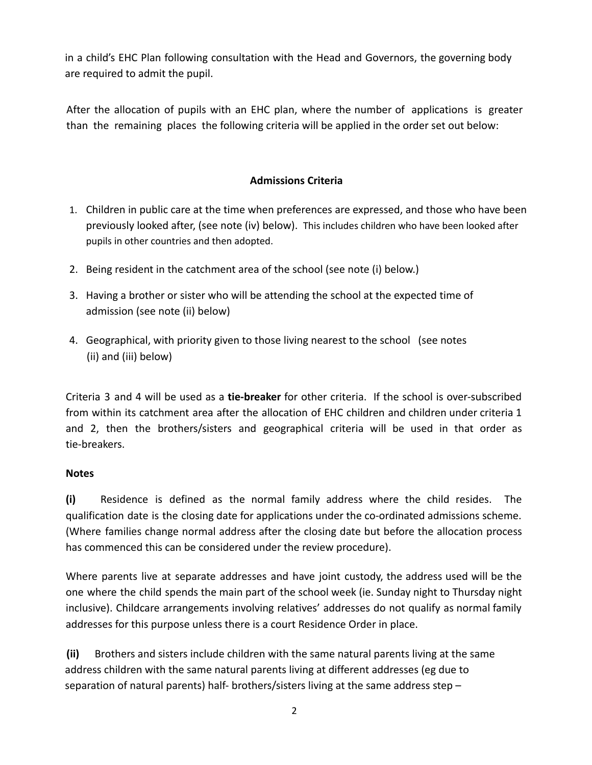in a child's EHC Plan following consultation with the Head and Governors, the governing body are required to admit the pupil.

After the allocation of pupils with an EHC plan, where the number of applications is greater than the remaining places the following criteria will be applied in the order set out below:

### **Admissions Criteria**

- 1. Children in public care at the time when preferences are expressed, and those who have been previously looked after, (see note (iv) below). This includes children who have been looked after pupils in other countries and then adopted.
- 2. Being resident in the catchment area of the school (see note (i) below.)
- 3. Having a brother or sister who will be attending the school at the expected time of admission (see note (ii) below)
- 4. Geographical, with priority given to those living nearest to the school (see notes (ii) and (iii) below)

Criteria 3 and 4 will be used as a **tie-breaker** for other criteria. If the school is over-subscribed from within its catchment area after the allocation of EHC children and children under criteria 1 and 2, then the brothers/sisters and geographical criteria will be used in that order as tie-breakers.

#### **Notes**

**(i)** Residence is defined as the normal family address where the child resides. The qualification date is the closing date for applications under the co-ordinated admissions scheme. (Where families change normal address after the closing date but before the allocation process has commenced this can be considered under the review procedure).

Where parents live at separate addresses and have joint custody, the address used will be the one where the child spends the main part of the school week (ie. Sunday night to Thursday night inclusive). Childcare arrangements involving relatives' addresses do not qualify as normal family addresses for this purpose unless there is a court Residence Order in place.

**(ii)** Brothers and sisters include children with the same natural parents living at the same address children with the same natural parents living at different addresses (eg due to separation of natural parents) half- brothers/sisters living at the same address step  $-$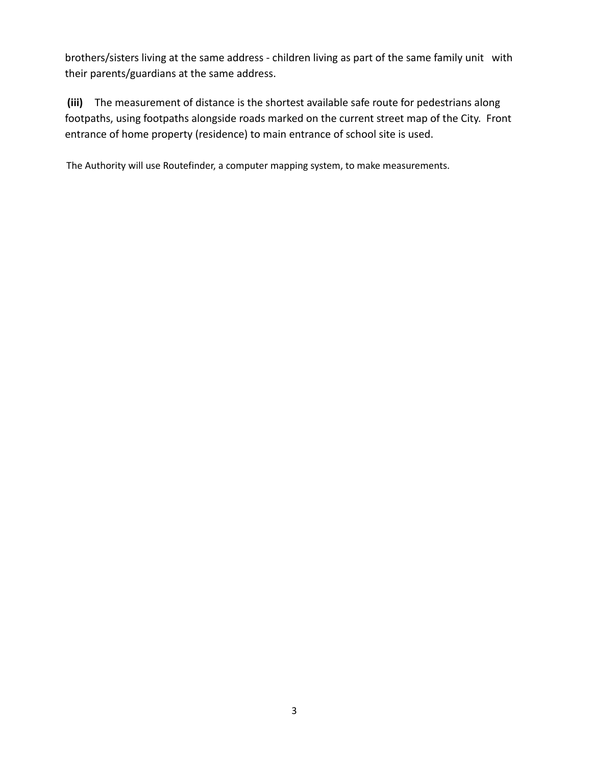brothers/sisters living at the same address - children living as part of the same family unit with their parents/guardians at the same address.

**(iii)** The measurement of distance is the shortest available safe route for pedestrians along footpaths, using footpaths alongside roads marked on the current street map of the City. Front entrance of home property (residence) to main entrance of school site is used.

The Authority will use Routefinder, a computer mapping system, to make measurements.